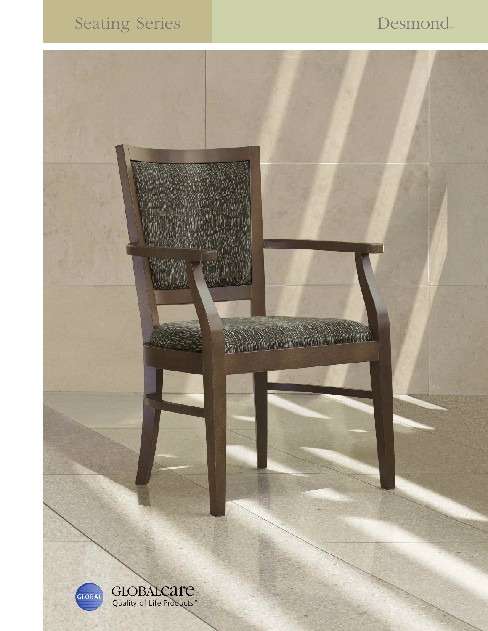# Seating Series Desmond™